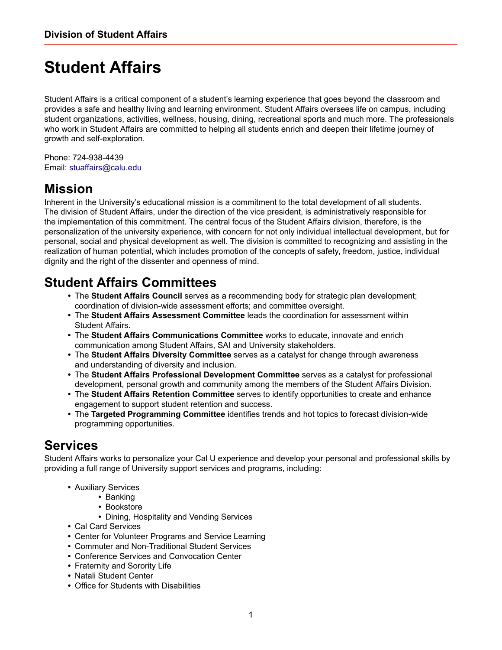## **Student Affairs**

Student Affairs is a critical component of a student's learning experience that goes beyond the classroom and provides a safe and healthy living and learning environment. Student Affairs oversees life on campus, including student organizations, activities, wellness, housing, dining, recreational sports and much more. The professionals who work in Student Affairs are committed to helping all students enrich and deepen their lifetime journey of growth and self-exploration.

Phone: 724-938-4439 Email: [stuaffairs@calu.edu](mailto:stuaffairs@calu.edu)

## **Mission**

Inherent in the University's educational mission is a commitment to the total development of all students. The division of Student Affairs, under the direction of the vice president, is administratively responsible for the implementation of this commitment. The central focus of the Student Affairs division, therefore, is the personalization of the university experience, with concern for not only individual intellectual development, but for personal, social and physical development as well. The division is committed to recognizing and assisting in the realization of human potential, which includes promotion of the concepts of safety, freedom, justice, individual dignity and the right of the dissenter and openness of mind.

## **Student Affairs Committees**

- **•** The **Student Affairs Council** serves as a recommending body for strategic plan development; coordination of division-wide assessment efforts; and committee oversight.
- **•** The **Student Affairs Assessment Committee** leads the coordination for assessment within Student Affairs.
- **•** The **Student Affairs Communications Committee** works to educate, innovate and enrich communication among Student Affairs, SAI and University stakeholders.
- **•** The **Student Affairs Diversity Committee** serves as a catalyst for change through awareness and understanding of diversity and inclusion.
- **•** The **Student Affairs Professional Development Committee** serves as a catalyst for professional development, personal growth and community among the members of the Student Affairs Division.
- **•** The **Student Affairs Retention Committee** serves to identify opportunities to create and enhance engagement to support student retention and success.
- **•** The **Targeted Programming Committee** identifies trends and hot topics to forecast division-wide programming opportunities.

## **Services**

Student Affairs works to personalize your Cal U experience and develop your personal and professional skills by providing a full range of University support services and programs, including:

- **•** Auxiliary Services
	- **•** Banking
		- **•** Bookstore
		- **•** Dining, Hospitality and Vending Services
- **•** Cal Card Services
- **•** Center for Volunteer Programs and Service Learning
- **•** Commuter and Non-Traditional Student Services
- **•** Conference Services and Convocation Center
- **•** Fraternity and Sorority Life
- **•** Natali Student Center
- **•** Office for Students with Disabilities